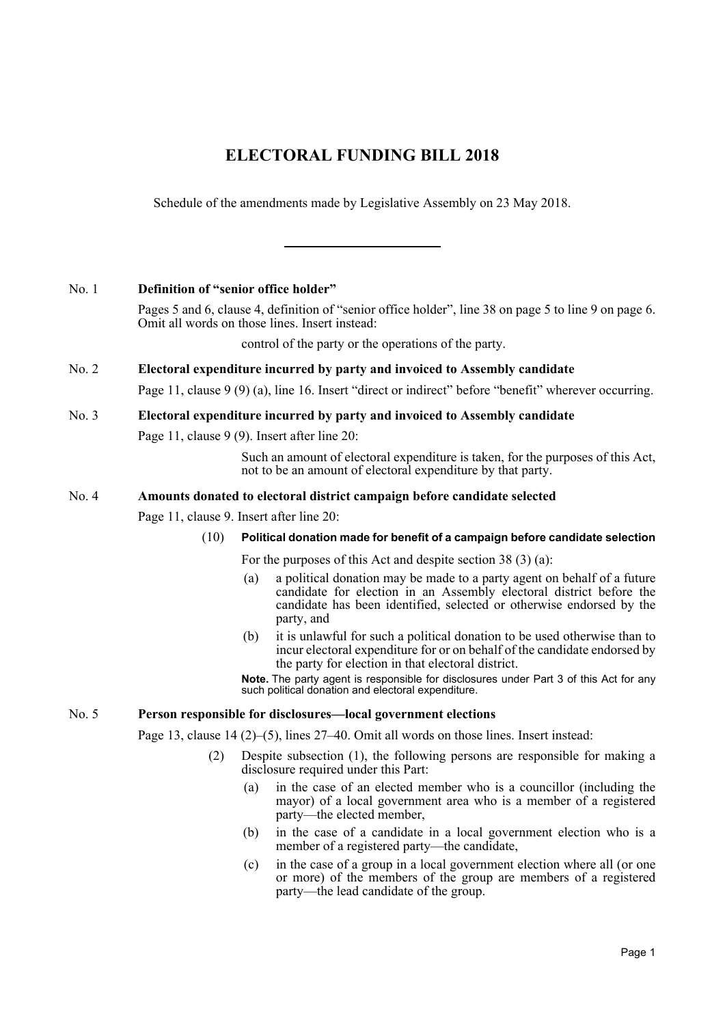# **ELECTORAL FUNDING BILL 2018**

Schedule of the amendments made by Legislative Assembly on 23 May 2018.

## No. 1 **Definition of "senior office holder"**

Pages 5 and 6, clause 4, definition of "senior office holder", line 38 on page 5 to line 9 on page 6. Omit all words on those lines. Insert instead:

control of the party or the operations of the party.

## No. 2 **Electoral expenditure incurred by party and invoiced to Assembly candidate**

Page 11, clause 9 (9) (a), line 16. Insert "direct or indirect" before "benefit" wherever occurring.

### No. 3 **Electoral expenditure incurred by party and invoiced to Assembly candidate**

Page 11, clause 9 (9). Insert after line 20:

Such an amount of electoral expenditure is taken, for the purposes of this Act, not to be an amount of electoral expenditure by that party.

### No. 4 **Amounts donated to electoral district campaign before candidate selected**

Page 11, clause 9. Insert after line 20:

### (10) **Political donation made for benefit of a campaign before candidate selection**

For the purposes of this Act and despite section 38 (3) (a):

- (a) a political donation may be made to a party agent on behalf of a future candidate for election in an Assembly electoral district before the candidate has been identified, selected or otherwise endorsed by the party, and
- (b) it is unlawful for such a political donation to be used otherwise than to incur electoral expenditure for or on behalf of the candidate endorsed by the party for election in that electoral district.

**Note.** The party agent is responsible for disclosures under Part 3 of this Act for any such political donation and electoral expenditure.

### No. 5 **Person responsible for disclosures—local government elections**

Page 13, clause 14 (2)–(5), lines 27–40. Omit all words on those lines. Insert instead:

- (2) Despite subsection (1), the following persons are responsible for making a disclosure required under this Part:
	- (a) in the case of an elected member who is a councillor (including the mayor) of a local government area who is a member of a registered party—the elected member,
	- (b) in the case of a candidate in a local government election who is a member of a registered party—the candidate,
	- (c) in the case of a group in a local government election where all (or one or more) of the members of the group are members of a registered party—the lead candidate of the group.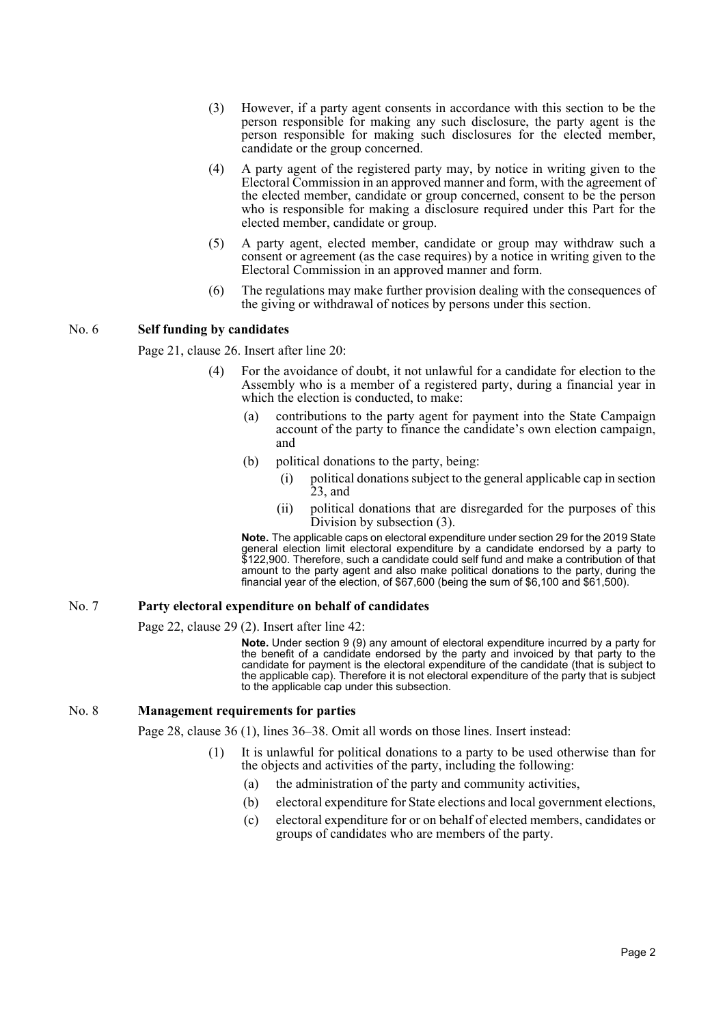- (3) However, if a party agent consents in accordance with this section to be the person responsible for making any such disclosure, the party agent is the person responsible for making such disclosures for the elected member, candidate or the group concerned.
- (4) A party agent of the registered party may, by notice in writing given to the Electoral Commission in an approved manner and form, with the agreement of the elected member, candidate or group concerned, consent to be the person who is responsible for making a disclosure required under this Part for the elected member, candidate or group.
- (5) A party agent, elected member, candidate or group may withdraw such a consent or agreement (as the case requires) by a notice in writing given to the Electoral Commission in an approved manner and form.
- (6) The regulations may make further provision dealing with the consequences of the giving or withdrawal of notices by persons under this section.

#### No. 6 **Self funding by candidates**

Page 21, clause 26. Insert after line 20:

- (4) For the avoidance of doubt, it not unlawful for a candidate for election to the Assembly who is a member of a registered party, during a financial year in which the election is conducted, to make:
	- (a) contributions to the party agent for payment into the State Campaign account of the party to finance the candidate's own election campaign, and
	- (b) political donations to the party, being:
		- (i) political donations subject to the general applicable cap in section 23, and
		- (ii) political donations that are disregarded for the purposes of this Division by subsection (3).

**Note.** The applicable caps on electoral expenditure under section 29 for the 2019 State general election limit electoral expenditure by a candidate endorsed by a party to \$122,900. Therefore, such a candidate could self fund and make a contribution of that amount to the party agent and also make political donations to the party, during the financial year of the election, of \$67,600 (being the sum of \$6,100 and \$61,500).

### No. 7 **Party electoral expenditure on behalf of candidates**

Page 22, clause 29 (2). Insert after line 42:

**Note.** Under section 9 (9) any amount of electoral expenditure incurred by a party for the benefit of a candidate endorsed by the party and invoiced by that party to the candidate for payment is the electoral expenditure of the candidate (that is subject to the applicable cap). Therefore it is not electoral expenditure of the party that is subject to the applicable cap under this subsection.

### No. 8 **Management requirements for parties**

Page 28, clause 36 (1), lines 36–38. Omit all words on those lines. Insert instead:

- (1) It is unlawful for political donations to a party to be used otherwise than for the objects and activities of the party, including the following:
	- (a) the administration of the party and community activities,
	- (b) electoral expenditure for State elections and local government elections,
	- (c) electoral expenditure for or on behalf of elected members, candidates or groups of candidates who are members of the party.